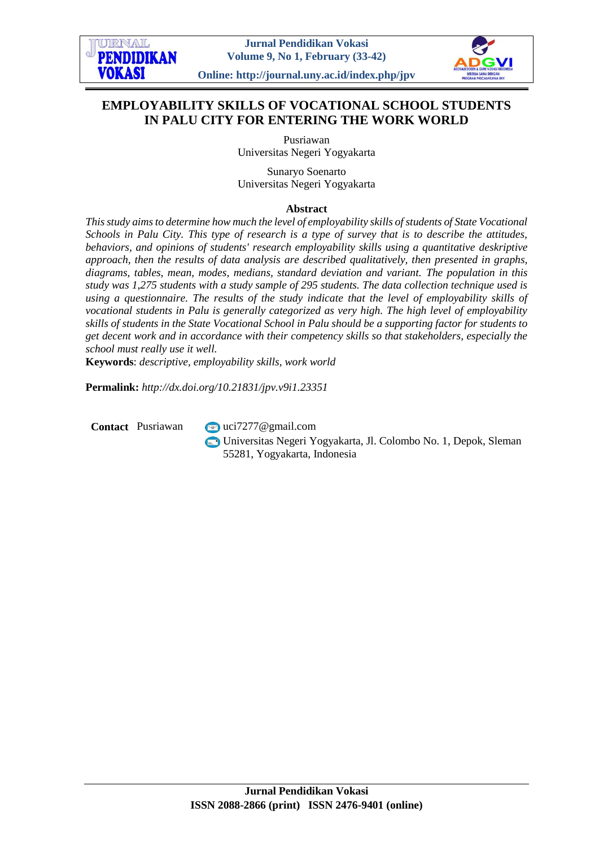

# **EMPLOYABILITY SKILLS OF VOCATIONAL SCHOOL STUDENTS IN PALU CITY FOR ENTERING THE WORK WORLD**

Pusriawan Universitas Negeri Yogyakarta

Sunaryo Soenarto Universitas Negeri Yogyakarta

#### **Abstract**

*This study aims to determine how much the level of employability skills of students of State Vocational Schools in Palu City. This type of research is a type of survey that is to describe the attitudes, behaviors, and opinions of students' research employability skills using a quantitative deskriptive approach, then the results of data analysis are described qualitatively, then presented in graphs, diagrams, tables, mean, modes, medians, standard deviation and variant. The population in this study was 1,275 students with a study sample of 295 students. The data collection technique used is using a questionnaire. The results of the study indicate that the level of employability skills of vocational students in Palu is generally categorized as very high. The high level of employability skills of students in the State Vocational School in Palu should be a supporting factor for students to get decent work and in accordance with their competency skills so that stakeholders, especially the school must really use it well.*

**Keywords**: *descriptive, employability skills, work world*

**Permalink:** *http://dx.doi.org/10.21831/jpv.v9i1.23351*

**Contact** Pusriawan **v**[uci7277@gmail.com](mailto:uci7277@gmail.com)

Universitas Negeri Yogyakarta, Jl. Colombo No. 1, Depok, Sleman 55281, Yogyakarta, Indonesia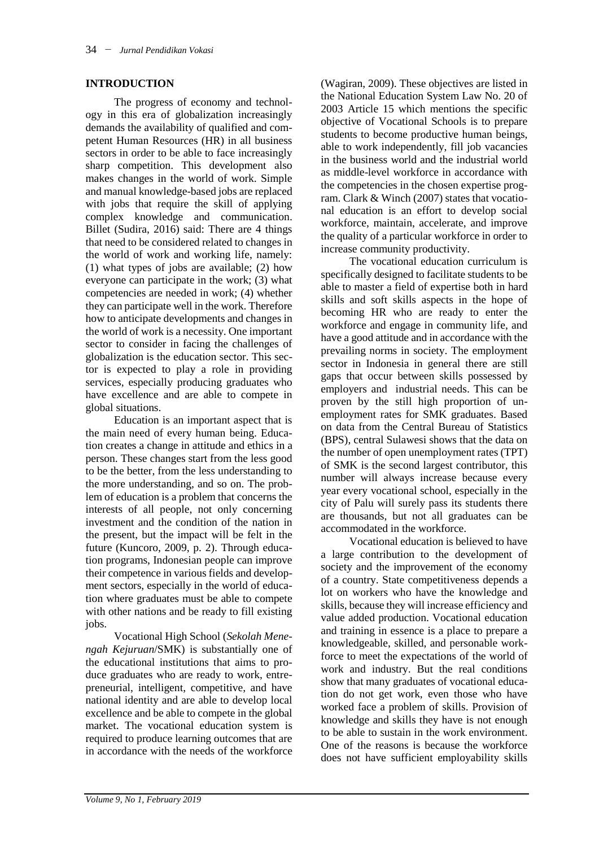### **INTRODUCTION**

The progress of economy and technology in this era of globalization increasingly demands the availability of qualified and competent Human Resources (HR) in all business sectors in order to be able to face increasingly sharp competition. This development also makes changes in the world of work. Simple and manual knowledge-based jobs are replaced with jobs that require the skill of applying complex knowledge and communication. Billet (Sudira, 2016) said: There are 4 things that need to be considered related to changes in the world of work and working life, namely: (1) what types of jobs are available; (2) how everyone can participate in the work; (3) what competencies are needed in work; (4) whether they can participate well in the work. Therefore how to anticipate developments and changes in the world of work is a necessity. One important sector to consider in facing the challenges of globalization is the education sector. This sector is expected to play a role in providing services, especially producing graduates who have excellence and are able to compete in global situations.

Education is an important aspect that is the main need of every human being. Education creates a change in attitude and ethics in a person. These changes start from the less good to be the better, from the less understanding to the more understanding, and so on. The problem of education is a problem that concerns the interests of all people, not only concerning investment and the condition of the nation in the present, but the impact will be felt in the future (Kuncoro, 2009, p. 2). Through education programs, Indonesian people can improve their competence in various fields and development sectors, especially in the world of education where graduates must be able to compete with other nations and be ready to fill existing jobs.

Vocational High School (*Sekolah Menengah Kejuruan*/SMK) is substantially one of the educational institutions that aims to produce graduates who are ready to work, entrepreneurial, intelligent, competitive, and have national identity and are able to develop local excellence and be able to compete in the global market. The vocational education system is required to produce learning outcomes that are in accordance with the needs of the workforce

(Wagiran, 2009). These objectives are listed in the National Education System Law No. 20 of 2003 Article 15 which mentions the specific objective of Vocational Schools is to prepare students to become productive human beings, able to work independently, fill job vacancies in the business world and the industrial world as middle-level workforce in accordance with the competencies in the chosen expertise program. Clark & Winch (2007) states that vocational education is an effort to develop social workforce, maintain, accelerate, and improve the quality of a particular workforce in order to increase community productivity.

The vocational education curriculum is specifically designed to facilitate students to be able to master a field of expertise both in hard skills and soft skills aspects in the hope of becoming HR who are ready to enter the workforce and engage in community life, and have a good attitude and in accordance with the prevailing norms in society. The employment sector in Indonesia in general there are still gaps that occur between skills possessed by employers and industrial needs. This can be proven by the still high proportion of unemployment rates for SMK graduates. Based on data from the Central Bureau of Statistics (BPS), central Sulawesi shows that the data on the number of open unemployment rates (TPT) of SMK is the second largest contributor, this number will always increase because every year every vocational school, especially in the city of Palu will surely pass its students there are thousands, but not all graduates can be accommodated in the workforce.

Vocational education is believed to have a large contribution to the development of society and the improvement of the economy of a country. State competitiveness depends a lot on workers who have the knowledge and skills, because they will increase efficiency and value added production. Vocational education and training in essence is a place to prepare a knowledgeable, skilled, and personable workforce to meet the expectations of the world of work and industry. But the real conditions show that many graduates of vocational education do not get work, even those who have worked face a problem of skills. Provision of knowledge and skills they have is not enough to be able to sustain in the work environment. One of the reasons is because the workforce does not have sufficient employability skills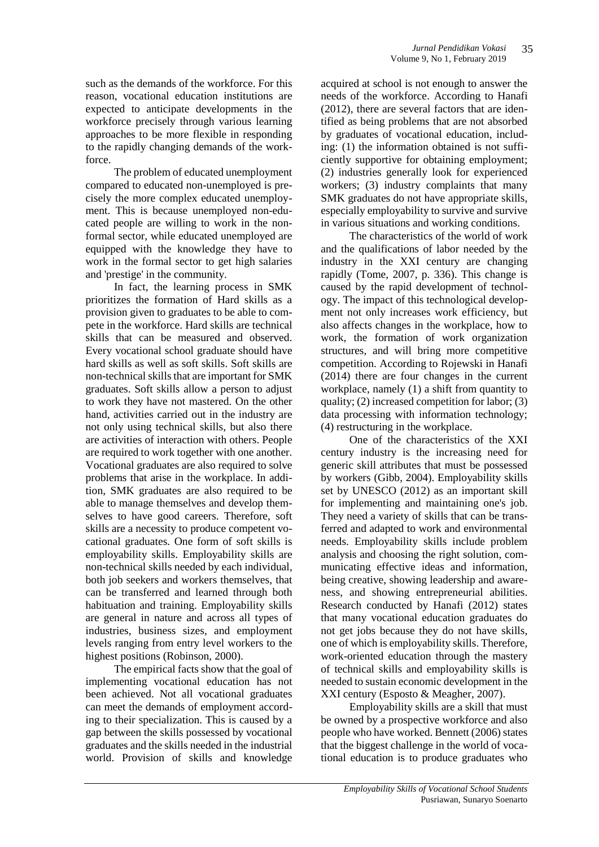such as the demands of the workforce. For this reason, vocational education institutions are expected to anticipate developments in the workforce precisely through various learning approaches to be more flexible in responding to the rapidly changing demands of the workforce.

The problem of educated unemployment compared to educated non-unemployed is precisely the more complex educated unemployment. This is because unemployed non-educated people are willing to work in the nonformal sector, while educated unemployed are equipped with the knowledge they have to work in the formal sector to get high salaries and 'prestige' in the community.

In fact, the learning process in SMK prioritizes the formation of Hard skills as a provision given to graduates to be able to compete in the workforce. Hard skills are technical skills that can be measured and observed. Every vocational school graduate should have hard skills as well as soft skills. Soft skills are non-technical skills that are important for SMK graduates. Soft skills allow a person to adjust to work they have not mastered. On the other hand, activities carried out in the industry are not only using technical skills, but also there are activities of interaction with others. People are required to work together with one another. Vocational graduates are also required to solve problems that arise in the workplace. In addition, SMK graduates are also required to be able to manage themselves and develop themselves to have good careers. Therefore, soft skills are a necessity to produce competent vocational graduates. One form of soft skills is employability skills. Employability skills are non-technical skills needed by each individual, both job seekers and workers themselves, that can be transferred and learned through both habituation and training. Employability skills are general in nature and across all types of industries, business sizes, and employment levels ranging from entry level workers to the highest positions (Robinson, 2000).

The empirical facts show that the goal of implementing vocational education has not been achieved. Not all vocational graduates can meet the demands of employment according to their specialization. This is caused by a gap between the skills possessed by vocational graduates and the skills needed in the industrial world. Provision of skills and knowledge

acquired at school is not enough to answer the needs of the workforce. According to Hanafi (2012), there are several factors that are identified as being problems that are not absorbed by graduates of vocational education, including: (1) the information obtained is not sufficiently supportive for obtaining employment; (2) industries generally look for experienced workers; (3) industry complaints that many SMK graduates do not have appropriate skills, especially employability to survive and survive in various situations and working conditions.

The characteristics of the world of work and the qualifications of labor needed by the industry in the XXI century are changing rapidly (Tome, 2007, p. 336). This change is caused by the rapid development of technology. The impact of this technological development not only increases work efficiency, but also affects changes in the workplace, how to work, the formation of work organization structures, and will bring more competitive competition. According to Rojewski in Hanafi (2014) there are four changes in the current workplace, namely (1) a shift from quantity to quality; (2) increased competition for labor; (3) data processing with information technology; (4) restructuring in the workplace.

One of the characteristics of the XXI century industry is the increasing need for generic skill attributes that must be possessed by workers (Gibb, 2004). Employability skills set by UNESCO (2012) as an important skill for implementing and maintaining one's job. They need a variety of skills that can be transferred and adapted to work and environmental needs. Employability skills include problem analysis and choosing the right solution, communicating effective ideas and information, being creative, showing leadership and awareness, and showing entrepreneurial abilities. Research conducted by Hanafi (2012) states that many vocational education graduates do not get jobs because they do not have skills, one of which is employability skills. Therefore, work-oriented education through the mastery of technical skills and employability skills is needed to sustain economic development in the XXI century (Esposto & Meagher, 2007).

Employability skills are a skill that must be owned by a prospective workforce and also people who have worked. Bennett (2006) states that the biggest challenge in the world of vocational education is to produce graduates who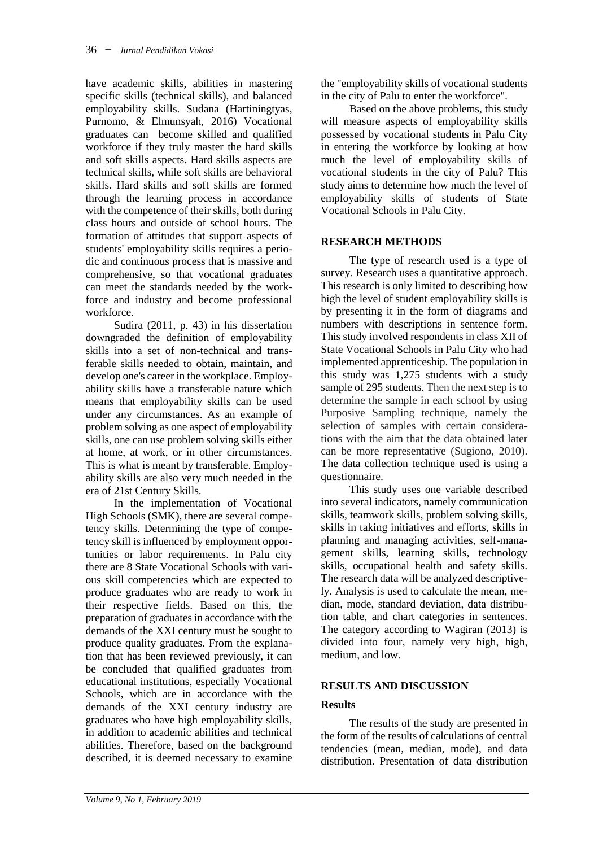have academic skills, abilities in mastering specific skills (technical skills), and balanced employability skills. Sudana (Hartiningtyas, Purnomo, & Elmunsyah, 2016) Vocational graduates can become skilled and qualified workforce if they truly master the hard skills and soft skills aspects. Hard skills aspects are technical skills, while soft skills are behavioral skills. Hard skills and soft skills are formed through the learning process in accordance with the competence of their skills, both during class hours and outside of school hours. The formation of attitudes that support aspects of students' employability skills requires a periodic and continuous process that is massive and comprehensive, so that vocational graduates can meet the standards needed by the workforce and industry and become professional workforce.

Sudira (2011, p. 43) in his dissertation downgraded the definition of employability skills into a set of non-technical and transferable skills needed to obtain, maintain, and develop one's career in the workplace. Employability skills have a transferable nature which means that employability skills can be used under any circumstances. As an example of problem solving as one aspect of employability skills, one can use problem solving skills either at home, at work, or in other circumstances. This is what is meant by transferable. Employability skills are also very much needed in the era of 21st Century Skills.

In the implementation of Vocational High Schools (SMK), there are several competency skills. Determining the type of competency skill is influenced by employment opportunities or labor requirements. In Palu city there are 8 State Vocational Schools with various skill competencies which are expected to produce graduates who are ready to work in their respective fields. Based on this, the preparation of graduates in accordance with the demands of the XXI century must be sought to produce quality graduates. From the explanation that has been reviewed previously, it can be concluded that qualified graduates from educational institutions, especially Vocational Schools, which are in accordance with the demands of the XXI century industry are graduates who have high employability skills, in addition to academic abilities and technical abilities. Therefore, based on the background described, it is deemed necessary to examine

the "employability skills of vocational students in the city of Palu to enter the workforce".

Based on the above problems, this study will measure aspects of employability skills possessed by vocational students in Palu City in entering the workforce by looking at how much the level of employability skills of vocational students in the city of Palu? This study aims to determine how much the level of employability skills of students of State Vocational Schools in Palu City.

# **RESEARCH METHODS**

The type of research used is a type of survey. Research uses a quantitative approach. This research is only limited to describing how high the level of student employability skills is by presenting it in the form of diagrams and numbers with descriptions in sentence form. This study involved respondents in class XII of State Vocational Schools in Palu City who had implemented apprenticeship. The population in this study was 1,275 students with a study sample of 295 students. Then the next step is to determine the sample in each school by using Purposive Sampling technique, namely the selection of samples with certain considerations with the aim that the data obtained later can be more representative (Sugiono, 2010). The data collection technique used is using a questionnaire.

This study uses one variable described into several indicators, namely communication skills, teamwork skills, problem solving skills, skills in taking initiatives and efforts, skills in planning and managing activities, self-management skills, learning skills, technology skills, occupational health and safety skills. The research data will be analyzed descriptively. Analysis is used to calculate the mean, median, mode, standard deviation, data distribution table, and chart categories in sentences. The category according to Wagiran (2013) is divided into four, namely very high, high, medium, and low.

# **RESULTS AND DISCUSSION**

## **Results**

The results of the study are presented in the form of the results of calculations of central tendencies (mean, median, mode), and data distribution. Presentation of data distribution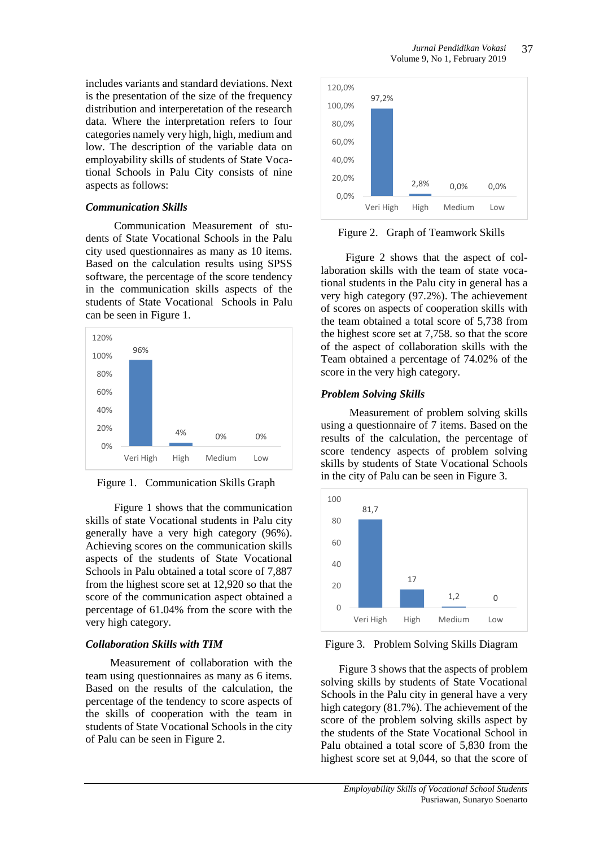includes variants and standard deviations. Next is the presentation of the size of the frequency distribution and interperetation of the research data. Where the interpretation refers to four categories namely very high, high, medium and low. The description of the variable data on employability skills of students of State Vocational Schools in Palu City consists of nine aspects as follows:

#### *Communication Skills*

Communication Measurement of students of State Vocational Schools in the Palu city used questionnaires as many as 10 items. Based on the calculation results using SPSS software, the percentage of the score tendency in the communication skills aspects of the students of State Vocational Schools in Palu can be seen in Figure 1.



Figure 1. Communication Skills Graph

Figure 1 shows that the communication skills of state Vocational students in Palu city generally have a very high category (96%). Achieving scores on the communication skills aspects of the students of State Vocational Schools in Palu obtained a total score of 7,887 from the highest score set at 12,920 so that the score of the communication aspect obtained a percentage of 61.04% from the score with the very high category.

## *Collaboration Skills with TIM*

Measurement of collaboration with the team using questionnaires as many as 6 items. Based on the results of the calculation, the percentage of the tendency to score aspects of the skills of cooperation with the team in students of State Vocational Schools in the city of Palu can be seen in Figure 2.



Figure 2. Graph of Teamwork Skills

Figure 2 shows that the aspect of collaboration skills with the team of state vocational students in the Palu city in general has a very high category (97.2%). The achievement of scores on aspects of cooperation skills with the team obtained a total score of 5,738 from the highest score set at 7,758. so that the score of the aspect of collaboration skills with the Team obtained a percentage of 74.02% of the score in the very high category.

## *Problem Solving Skills*

Measurement of problem solving skills using a questionnaire of 7 items. Based on the results of the calculation, the percentage of score tendency aspects of problem solving skills by students of State Vocational Schools in the city of Palu can be seen in Figure 3.



Figure 3. Problem Solving Skills Diagram

Figure 3 shows that the aspects of problem solving skills by students of State Vocational Schools in the Palu city in general have a very high category (81.7%). The achievement of the score of the problem solving skills aspect by the students of the State Vocational School in Palu obtained a total score of 5,830 from the highest score set at 9,044, so that the score of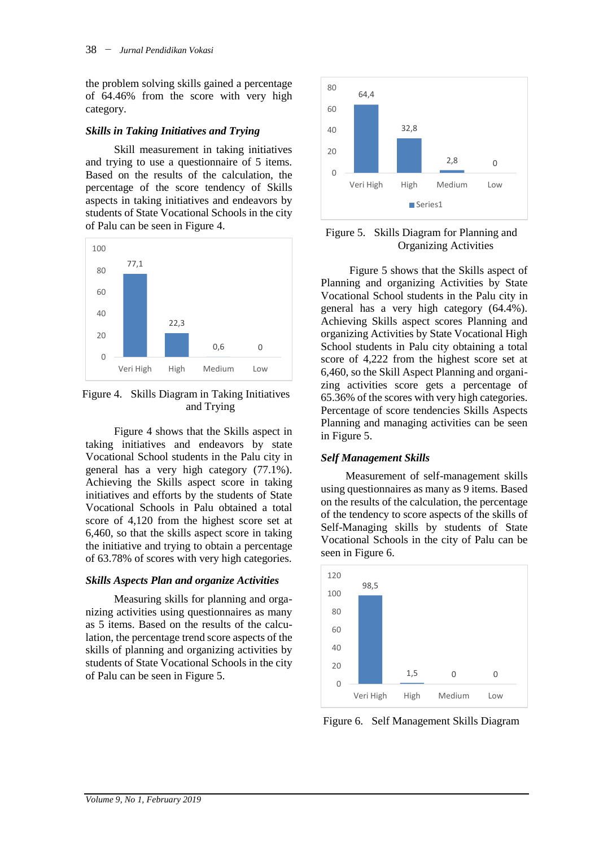the problem solving skills gained a percentage of 64.46% from the score with very high category.

#### *Skills in Taking Initiatives and Trying*

Skill measurement in taking initiatives and trying to use a questionnaire of 5 items. Based on the results of the calculation, the percentage of the score tendency of Skills aspects in taking initiatives and endeavors by students of State Vocational Schools in the city of Palu can be seen in Figure 4.



Figure 4. Skills Diagram in Taking Initiatives and Trying

Figure 4 shows that the Skills aspect in taking initiatives and endeavors by state Vocational School students in the Palu city in general has a very high category (77.1%). Achieving the Skills aspect score in taking initiatives and efforts by the students of State Vocational Schools in Palu obtained a total score of 4,120 from the highest score set at 6,460, so that the skills aspect score in taking the initiative and trying to obtain a percentage of 63.78% of scores with very high categories.

## *Skills Aspects Plan and organize Activities*

Measuring skills for planning and organizing activities using questionnaires as many as 5 items. Based on the results of the calculation, the percentage trend score aspects of the skills of planning and organizing activities by students of State Vocational Schools in the city of Palu can be seen in Figure 5.



## Figure 5. Skills Diagram for Planning and Organizing Activities

Figure 5 shows that the Skills aspect of Planning and organizing Activities by State Vocational School students in the Palu city in general has a very high category (64.4%). Achieving Skills aspect scores Planning and organizing Activities by State Vocational High School students in Palu city obtaining a total score of 4,222 from the highest score set at 6,460, so the Skill Aspect Planning and organizing activities score gets a percentage of 65.36% of the scores with very high categories. Percentage of score tendencies Skills Aspects Planning and managing activities can be seen in Figure 5.

## *Self Management Skills*

Measurement of self-management skills using questionnaires as many as 9 items. Based on the results of the calculation, the percentage of the tendency to score aspects of the skills of Self-Managing skills by students of State Vocational Schools in the city of Palu can be seen in Figure 6.



Figure 6. Self Management Skills Diagram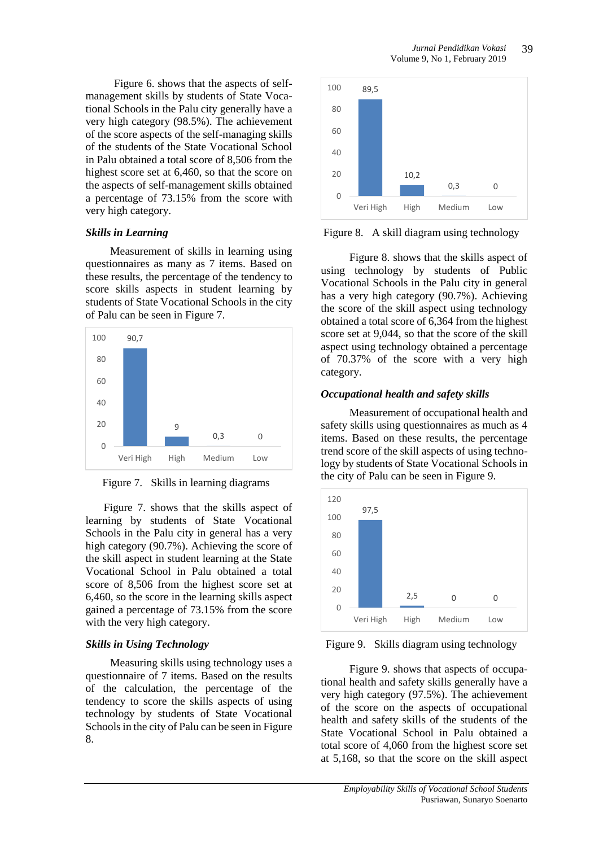Figure 6. shows that the aspects of selfmanagement skills by students of State Vocational Schools in the Palu city generally have a very high category (98.5%). The achievement of the score aspects of the self-managing skills of the students of the State Vocational School in Palu obtained a total score of 8,506 from the highest score set at 6,460, so that the score on the aspects of self-management skills obtained a percentage of 73.15% from the score with very high category.

#### *Skills in Learning*

Measurement of skills in learning using questionnaires as many as 7 items. Based on these results, the percentage of the tendency to score skills aspects in student learning by students of State Vocational Schools in the city of Palu can be seen in Figure 7.



Figure 7. Skills in learning diagrams

Figure 7. shows that the skills aspect of learning by students of State Vocational Schools in the Palu city in general has a very high category (90.7%). Achieving the score of the skill aspect in student learning at the State Vocational School in Palu obtained a total score of 8,506 from the highest score set at 6,460, so the score in the learning skills aspect gained a percentage of 73.15% from the score with the very high category.

## *Skills in Using Technology*

Measuring skills using technology uses a questionnaire of 7 items. Based on the results of the calculation, the percentage of the tendency to score the skills aspects of using technology by students of State Vocational Schools in the city of Palu can be seen in Figure 8.



Figure 8. A skill diagram using technology

Figure 8. shows that the skills aspect of using technology by students of Public Vocational Schools in the Palu city in general has a very high category (90.7%). Achieving the score of the skill aspect using technology obtained a total score of 6,364 from the highest score set at 9,044, so that the score of the skill aspect using technology obtained a percentage of 70.37% of the score with a very high category.

# *Occupational health and safety skills*

Measurement of occupational health and safety skills using questionnaires as much as 4 items. Based on these results, the percentage trend score of the skill aspects of using technology by students of State Vocational Schools in the city of Palu can be seen in Figure 9.



Figure 9. Skills diagram using technology

Figure 9. shows that aspects of occupational health and safety skills generally have a very high category (97.5%). The achievement of the score on the aspects of occupational health and safety skills of the students of the State Vocational School in Palu obtained a total score of 4,060 from the highest score set at 5,168, so that the score on the skill aspect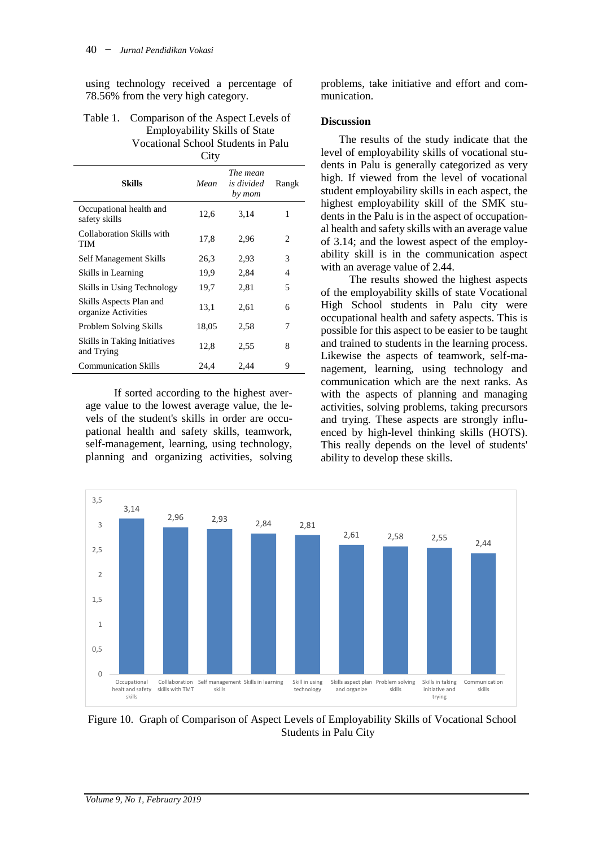using technology received a percentage of 78.56% from the very high category.

| Table 1. Comparison of the Aspect Levels of |  |  |
|---------------------------------------------|--|--|
| <b>Employability Skills of State</b>        |  |  |
| Vocational School Students in Palu          |  |  |
|                                             |  |  |

|                                                   | UILY  |                                  |       |
|---------------------------------------------------|-------|----------------------------------|-------|
| Skills                                            | Mean  | The mean<br>is divided<br>by mom | Rangk |
| Occupational health and<br>safety skills          | 12,6  | 3,14                             | 1     |
| Collaboration Skills with<br>TIM                  | 17,8  | 2,96                             | 2     |
| Self Management Skills                            | 26,3  | 2,93                             | 3     |
| Skills in Learning                                | 19,9  | 2,84                             | 4     |
| Skills in Using Technology                        | 19,7  | 2,81                             | 5     |
| Skills Aspects Plan and<br>organize Activities    | 13,1  | 2,61                             | 6     |
| Problem Solving Skills                            | 18,05 | 2,58                             | 7     |
| <b>Skills in Taking Initiatives</b><br>and Trying | 12,8  | 2,55                             | 8     |
| <b>Communication Skills</b>                       | 24,4  | 2,44                             | 9     |

If sorted according to the highest average value to the lowest average value, the levels of the student's skills in order are occupational health and safety skills, teamwork, self-management, learning, using technology, planning and organizing activities, solving

problems, take initiative and effort and communication.

#### **Discussion**

The results of the study indicate that the level of employability skills of vocational students in Palu is generally categorized as very high. If viewed from the level of vocational student employability skills in each aspect, the highest employability skill of the SMK students in the Palu is in the aspect of occupational health and safety skills with an average value of 3.14; and the lowest aspect of the employability skill is in the communication aspect with an average value of 2.44.

The results showed the highest aspects of the employability skills of state Vocational High School students in Palu city were occupational health and safety aspects. This is possible for this aspect to be easier to be taught and trained to students in the learning process. Likewise the aspects of teamwork, self-management, learning, using technology and communication which are the next ranks. As with the aspects of planning and managing activities, solving problems, taking precursors and trying. These aspects are strongly influenced by high-level thinking skills (HOTS). This really depends on the level of students' ability to develop these skills.



Figure 10. Graph of Comparison of Aspect Levels of Employability Skills of Vocational School Students in Palu City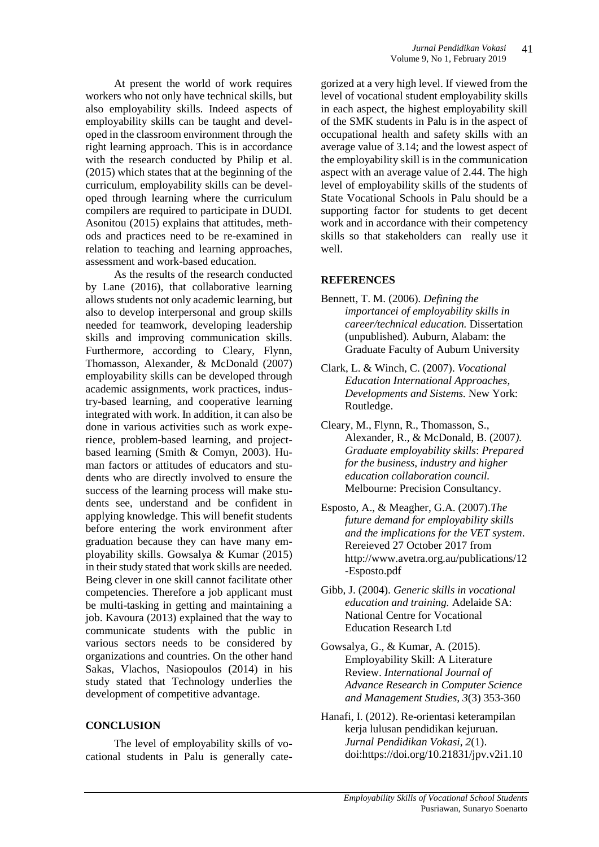At present the world of work requires workers who not only have technical skills, but also employability skills. Indeed aspects of employability skills can be taught and developed in the classroom environment through the right learning approach. This is in accordance with the research conducted by Philip et al. (2015) which states that at the beginning of the curriculum, employability skills can be developed through learning where the curriculum compilers are required to participate in DUDI. [Asonitou](https://www.researchgate.net/profile/Sofia_Asonitou) (2015) explains that attitudes, methods and practices need to be re-examined in relation to teaching and learning approaches, assessment and work-based education.

As the results of the research conducted by Lane (2016), that collaborative learning allows students not only academic learning, but also to develop interpersonal and group skills needed for teamwork, developing leadership skills and improving communication skills. Furthermore, according to Cleary, Flynn, Thomasson, Alexander, & McDonald (2007) employability skills can be developed through academic assignments, work practices, industry-based learning, and cooperative learning integrated with work. In addition, it can also be done in various activities such as work experience, problem-based learning, and projectbased learning (Smith & Comyn, 2003). Human factors or attitudes of educators and students who are directly involved to ensure the success of the learning process will make students see, understand and be confident in applying knowledge. This will benefit students before entering the work environment after graduation because they can have many employability skills. Gowsalya & Kumar (2015) in their study stated that work skills are needed. Being clever in one skill cannot facilitate other competencies. Therefore a job applicant must be multi-tasking in getting and maintaining a job. Kavoura (2013) explained that the way to communicate students with the public in various sectors needs to be considered by organizations and countries. On the other hand Sakas, Vlachos, Nasiopoulos (2014) in his study stated that Technology underlies the development of competitive advantage.

#### **CONCLUSION**

The level of employability skills of vocational students in Palu is generally cate-

gorized at a very high level. If viewed from the level of vocational student employability skills in each aspect, the highest employability skill of the SMK students in Palu is in the aspect of occupational health and safety skills with an average value of 3.14; and the lowest aspect of the employability skill is in the communication aspect with an average value of 2.44. The high level of employability skills of the students of State Vocational Schools in Palu should be a supporting factor for students to get decent work and in accordance with their competency skills so that stakeholders can really use it well.

#### **REFERENCES**

- Bennett, T. M. (2006). *Defining the importancei of employability skills in career/technical education.* Dissertation (unpublished)*.* Auburn, Alabam: the Graduate Faculty of Auburn University
- Clark, L. & Winch, C. (2007). *Vocational Education International Approaches, Developments and Sistems.* New York: Routledge.
- Cleary, M., Flynn, R., Thomasson, S., Alexander, R., & McDonald, B. (2007*). Graduate employability skills*: *Prepared for the business, industry and higher education collaboration council.*  Melbourne: Precision Consultancy.
- Esposto, A., & Meagher, G.A. (2007).*The future demand for employability skills and the implications for the VET system*. Rereieved 27 October 2017 from [http://www.avetra.org.au/publications/12](http://www.avetra.org.au/publications/12-Esposto.pdf) [-Esposto.pdf](http://www.avetra.org.au/publications/12-Esposto.pdf)
- Gibb, J. (2004). *Generic skills in vocational education and training.* Adelaide SA: National Centre for Vocational Education Research Ltd
- Gowsalya, G., & Kumar, A. (2015). Employability Skill: A Literature Review. *International Journal of Advance Research in Computer Science and Management Studies, 3*(3) 353-360
- Hanafi, I. (2012). Re-orientasi keterampilan kerja lulusan pendidikan kejuruan. *Jurnal Pendidikan Vokasi, 2*(1). doi[:https://doi.org/10.21831/jpv.v2i1.10](https://doi.org/10.21831/jpv.v2i1.1021)